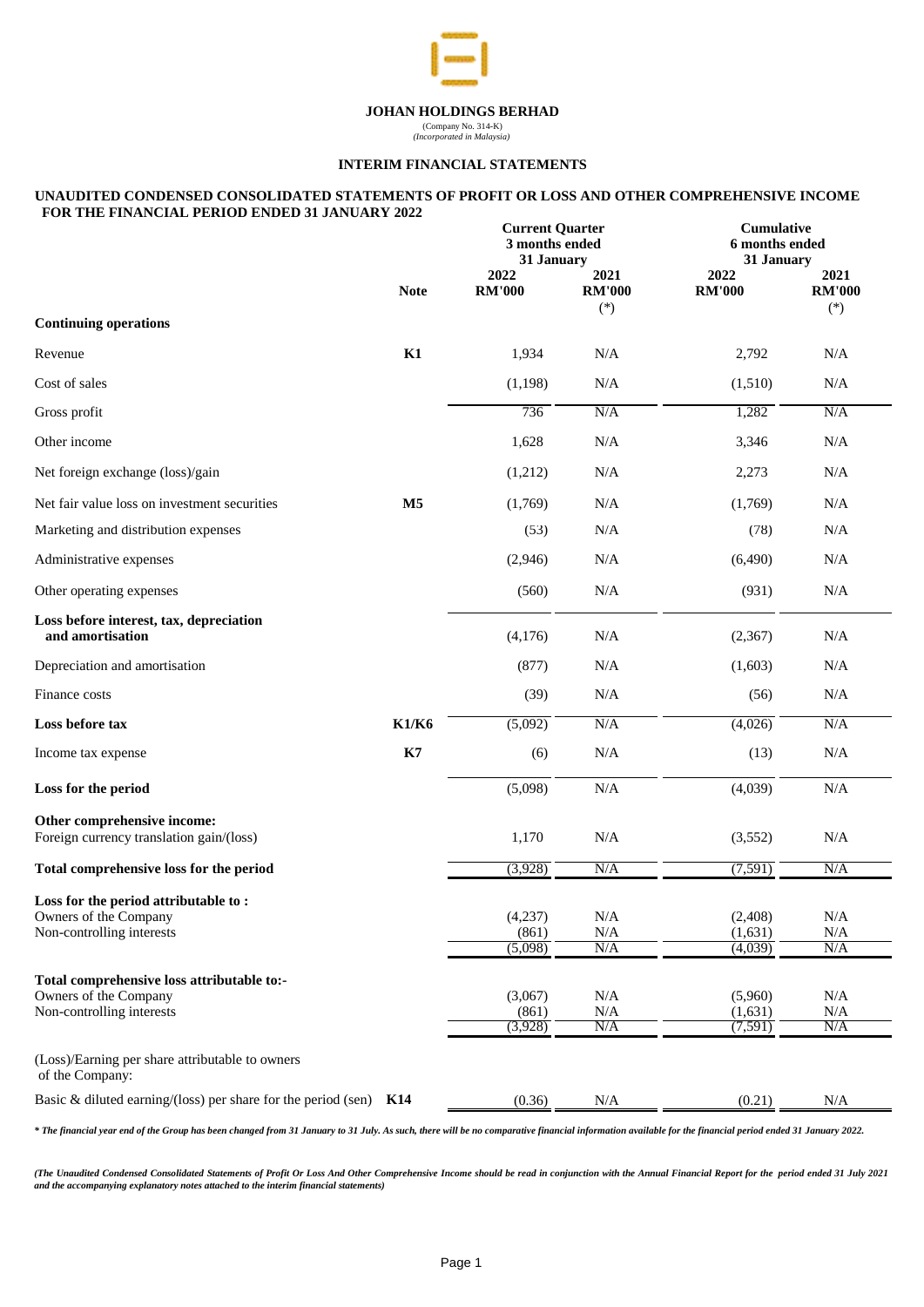

## **INTERIM FINANCIAL STATEMENTS**

#### **UNAUDITED CONDENSED CONSOLIDATED STATEMENTS OF PROFIT OR LOSS AND OTHER COMPREHENSIVE INCOME FOR THE FINANCIAL PERIOD ENDED 31 JANUARY 2022**

|                                                                                                  |                | <b>Current Quarter</b><br>3 months ended<br>31 January |                                | Cumulative<br>6 months ended<br>31 January |                                |
|--------------------------------------------------------------------------------------------------|----------------|--------------------------------------------------------|--------------------------------|--------------------------------------------|--------------------------------|
|                                                                                                  | <b>Note</b>    | 2022<br><b>RM'000</b>                                  | 2021<br><b>RM'000</b><br>$(*)$ | 2022<br><b>RM'000</b>                      | 2021<br><b>RM'000</b><br>$(*)$ |
| <b>Continuing operations</b>                                                                     |                |                                                        |                                |                                            |                                |
| Revenue                                                                                          | K1             | 1,934                                                  | N/A                            | 2,792                                      | N/A                            |
| Cost of sales                                                                                    |                | (1, 198)                                               | N/A                            | (1,510)                                    | N/A                            |
| Gross profit                                                                                     |                | 736                                                    | N/A                            | 1,282                                      | N/A                            |
| Other income                                                                                     |                | 1,628                                                  | $\rm N/A$                      | 3,346                                      | N/A                            |
| Net foreign exchange (loss)/gain                                                                 |                | (1,212)                                                | N/A                            | 2,273                                      | N/A                            |
| Net fair value loss on investment securities                                                     | M <sub>5</sub> | (1,769)                                                | N/A                            | (1,769)                                    | N/A                            |
| Marketing and distribution expenses                                                              |                | (53)                                                   | N/A                            | (78)                                       | N/A                            |
| Administrative expenses                                                                          |                | (2,946)                                                | N/A                            | (6,490)                                    | N/A                            |
| Other operating expenses                                                                         |                | (560)                                                  | $\rm N/A$                      | (931)                                      | $\rm N/A$                      |
| Loss before interest, tax, depreciation<br>and amortisation                                      |                | (4,176)                                                | N/A                            | (2,367)                                    | N/A                            |
| Depreciation and amortisation                                                                    |                | (877)                                                  | N/A                            | (1,603)                                    | N/A                            |
| Finance costs                                                                                    |                | (39)                                                   | $\rm N/A$                      | (56)                                       | $\rm N/A$                      |
| Loss before tax                                                                                  | <b>K1/K6</b>   | (5,092)                                                | N/A                            | (4,026)                                    | N/A                            |
| Income tax expense                                                                               | K7             | (6)                                                    | $\rm N/A$                      | (13)                                       | $\rm N/A$                      |
| Loss for the period                                                                              |                | (5,098)                                                | $\rm N/A$                      | (4,039)                                    | N/A                            |
| Other comprehensive income:<br>Foreign currency translation gain/(loss)                          |                | 1,170                                                  | $\rm N/A$                      | (3,552)                                    | N/A                            |
| Total comprehensive loss for the period                                                          |                | (3,928)                                                | N/A                            | (7, 591)                                   | N/A                            |
| Loss for the period attributable to:<br>Owners of the Company<br>Non-controlling interests       |                | (4,237)<br>(861)<br>(5,098)                            | $\rm N/A$<br>N/A<br>N/A        | (2, 408)<br>(1,631)<br>(4,039)             | $\rm N/A$<br>N/A<br>N/A        |
| Total comprehensive loss attributable to:-<br>Owners of the Company<br>Non-controlling interests |                | (3,067)<br>(861)<br>(3,928)                            | N/A<br>N/A<br>N/A              | (5,960)<br>(1,631)<br>(7, 591)             | N/A<br>N/A<br>N/A              |
| (Loss)/Earning per share attributable to owners<br>of the Company:                               |                |                                                        |                                |                                            |                                |
| Basic & diluted earning/(loss) per share for the period (sen) $K14$                              |                | (0.36)                                                 | N/A                            | (0.21)                                     | N/A                            |

*\* The financial year end of the Group has been changed from 31 January to 31 July. As such, there will be no comparative financial information available for the financial period ended 31 January 2022.*

(The Unaudited Condensed Consolidated Statements of Profit Or Loss And Other Comprehensive Income should be read in conjunction with the Annual Financial Report for the period ended 31 July 2021 *and the accompanying explanatory notes attached to the interim financial statements)*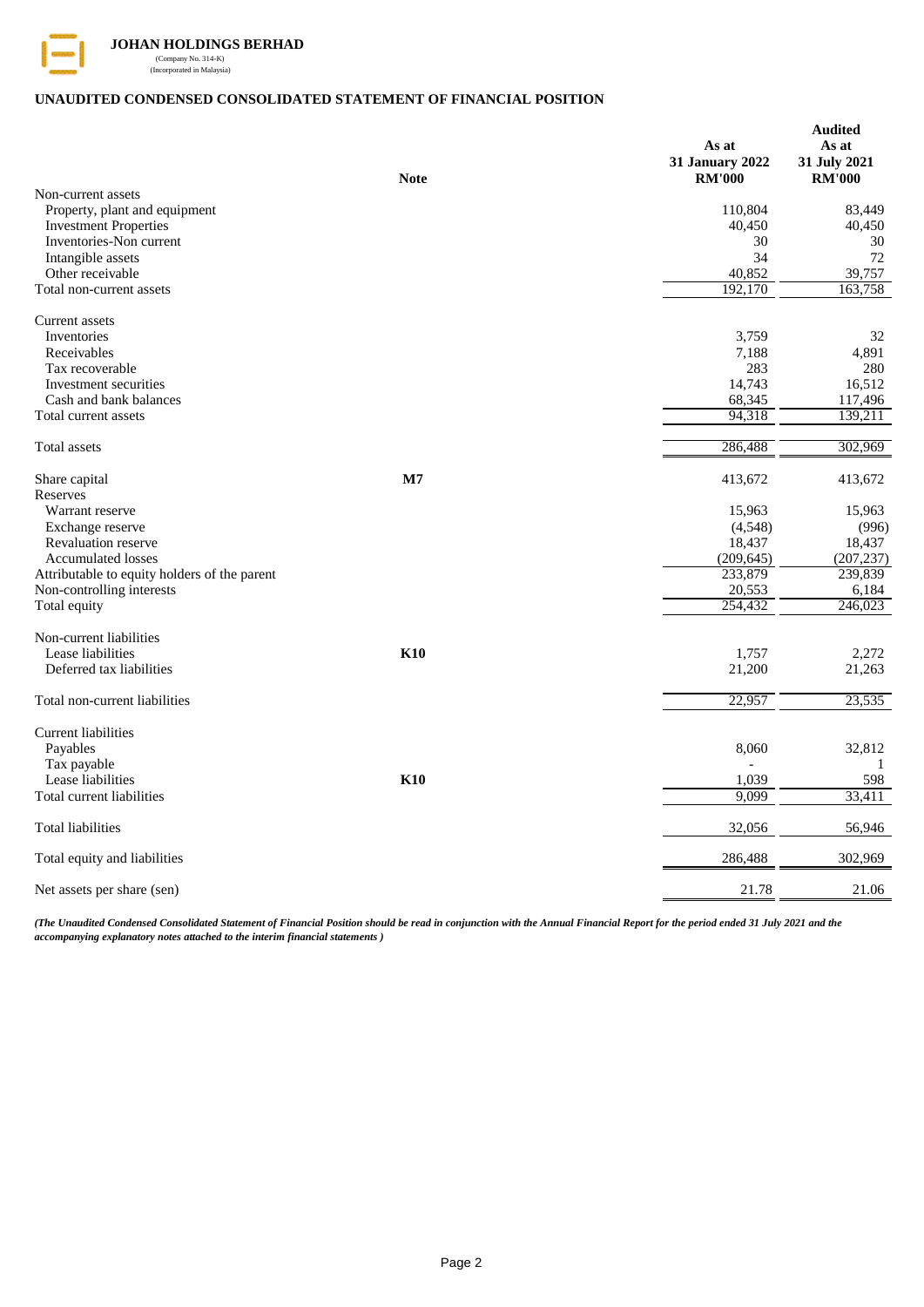

# **UNAUDITED CONDENSED CONSOLIDATED STATEMENT OF FINANCIAL POSITION**

| <b>Note</b>                                                | As at<br>31 January 2022<br><b>RM'000</b> | <b>Audited</b><br>As at<br>31 July 2021<br><b>RM'000</b> |
|------------------------------------------------------------|-------------------------------------------|----------------------------------------------------------|
| Non-current assets                                         |                                           |                                                          |
| Property, plant and equipment                              | 110,804                                   | 83,449                                                   |
| <b>Investment Properties</b>                               | 40,450                                    | 40,450                                                   |
| Inventories-Non current                                    | 30                                        | 30                                                       |
| Intangible assets                                          | 34                                        | 72                                                       |
| Other receivable                                           | 40,852                                    | 39,757                                                   |
| Total non-current assets                                   | 192,170                                   | 163,758                                                  |
| Current assets                                             |                                           |                                                          |
| Inventories                                                | 3,759                                     | 32                                                       |
| Receivables                                                | 7,188                                     | 4,891                                                    |
| Tax recoverable                                            | 283                                       | 280                                                      |
| Investment securities                                      | 14,743                                    | 16,512                                                   |
| Cash and bank balances                                     | 68,345                                    | 117,496                                                  |
| Total current assets                                       | 94,318                                    | 139,211                                                  |
| Total assets                                               | 286,488                                   | 302,969                                                  |
| Share capital<br>$\mathbf{M}$                              | 413,672                                   | 413,672                                                  |
| Reserves<br>Warrant reserve                                | 15,963                                    | 15,963                                                   |
| Exchange reserve                                           | (4, 548)                                  | (996)                                                    |
| <b>Revaluation reserve</b>                                 | 18,437                                    | 18,437                                                   |
| <b>Accumulated losses</b>                                  | (209, 645)                                | (207, 237)                                               |
| Attributable to equity holders of the parent               | 233,879                                   | 239,839                                                  |
| Non-controlling interests                                  | 20,553                                    | 6,184                                                    |
| Total equity                                               | 254,432                                   | 246,023                                                  |
|                                                            |                                           |                                                          |
| Non-current liabilities<br><b>K10</b><br>Lease liabilities | 1,757                                     | 2,272                                                    |
| Deferred tax liabilities                                   | 21,200                                    | 21,263                                                   |
|                                                            |                                           |                                                          |
| Total non-current liabilities                              | 22,957                                    | 23,535                                                   |
| <b>Current liabilities</b>                                 |                                           |                                                          |
| Payables                                                   | 8,060                                     | 32,812                                                   |
| Tax payable                                                |                                           | 1                                                        |
| <b>K10</b><br>Lease liabilities                            | 1,039                                     | 598                                                      |
| Total current liabilities                                  | 9,099                                     | 33,411                                                   |
| <b>Total liabilities</b>                                   | 32,056                                    | 56,946                                                   |
| Total equity and liabilities                               | 286,488                                   | 302,969                                                  |
| Net assets per share (sen)                                 | 21.78                                     | 21.06                                                    |

*(The Unaudited Condensed Consolidated Statement of Financial Position should be read in conjunction with the Annual Financial Report for the period ended 31 July 2021 and the accompanying explanatory notes attached to the interim financial statements )*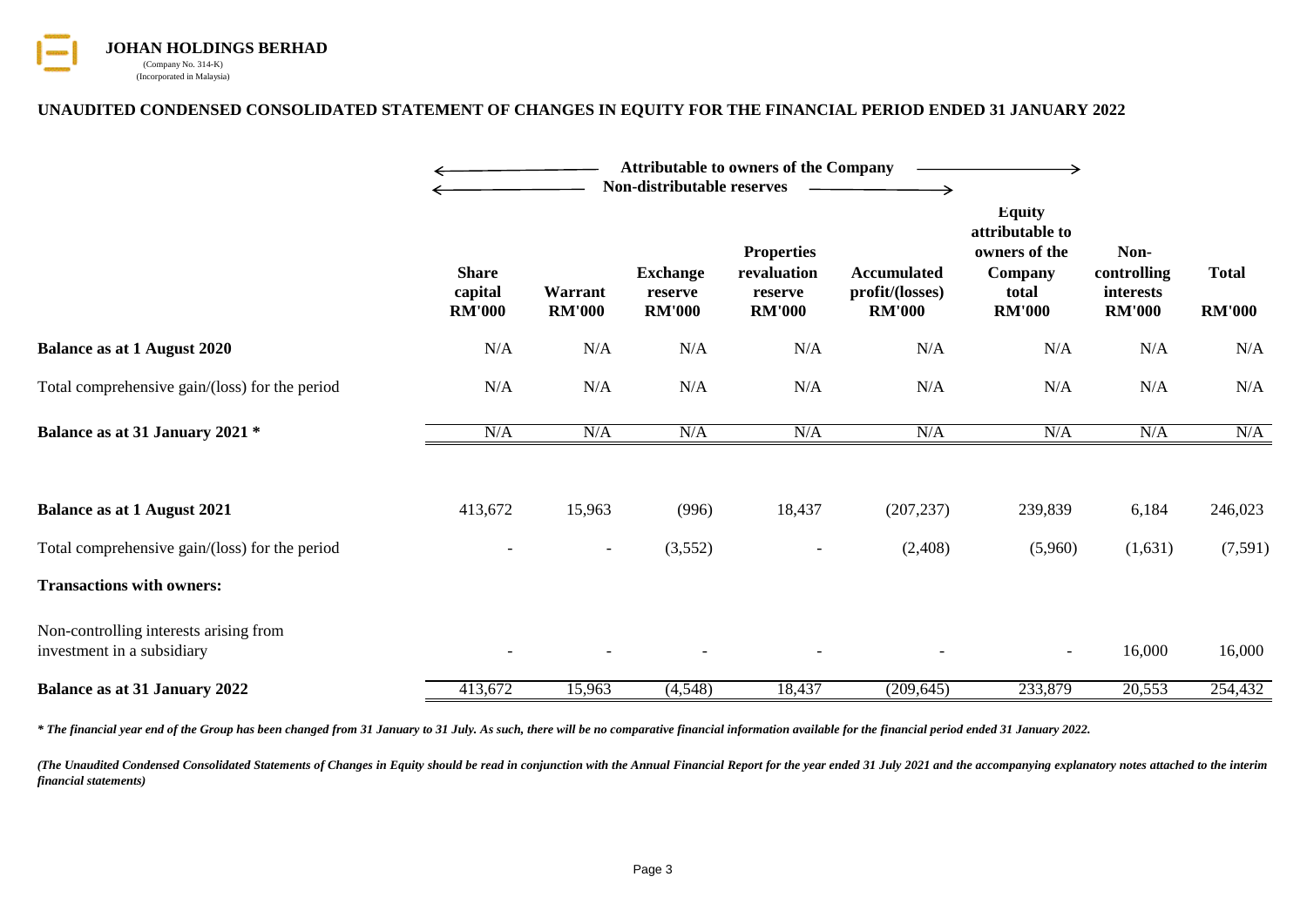

# **UNAUDITED CONDENSED CONSOLIDATED STATEMENT OF CHANGES IN EQUITY FOR THE FINANCIAL PERIOD ENDED 31 JANUARY 2022**

|                                                                      |                                          |                          | <b>Attributable to owners of the Company</b><br>Non-distributable reserves |                                                              |                                                        |                                                                                        |                                                   |                               |
|----------------------------------------------------------------------|------------------------------------------|--------------------------|----------------------------------------------------------------------------|--------------------------------------------------------------|--------------------------------------------------------|----------------------------------------------------------------------------------------|---------------------------------------------------|-------------------------------|
|                                                                      | <b>Share</b><br>capital<br><b>RM'000</b> | Warrant<br><b>RM'000</b> | <b>Exchange</b><br>reserve<br><b>RM'000</b>                                | <b>Properties</b><br>revaluation<br>reserve<br><b>RM'000</b> | <b>Accumulated</b><br>profit/(losses)<br><b>RM'000</b> | <b>Equity</b><br>attributable to<br>owners of the<br>Company<br>total<br><b>RM'000</b> | Non-<br>controlling<br>interests<br><b>RM'000</b> | <b>Total</b><br><b>RM'000</b> |
| <b>Balance as at 1 August 2020</b>                                   | N/A                                      | N/A                      | N/A                                                                        | N/A                                                          | N/A                                                    | N/A                                                                                    | N/A                                               | N/A                           |
| Total comprehensive gain/(loss) for the period                       | N/A                                      | N/A                      | N/A                                                                        | N/A                                                          | N/A                                                    | N/A                                                                                    | N/A                                               | N/A                           |
| Balance as at 31 January 2021 *                                      | N/A                                      | N/A                      | N/A                                                                        | N/A                                                          | N/A                                                    | N/A                                                                                    | N/A                                               | N/A                           |
| <b>Balance as at 1 August 2021</b>                                   | 413,672                                  | 15,963                   | (996)                                                                      | 18,437                                                       | (207, 237)                                             | 239,839                                                                                | 6,184                                             | 246,023                       |
| Total comprehensive gain/(loss) for the period                       |                                          | $\overline{\phantom{a}}$ | (3,552)                                                                    | $\overline{\phantom{a}}$                                     | (2,408)                                                | (5,960)                                                                                | (1,631)                                           | (7,591)                       |
| <b>Transactions with owners:</b>                                     |                                          |                          |                                                                            |                                                              |                                                        |                                                                                        |                                                   |                               |
| Non-controlling interests arising from<br>investment in a subsidiary |                                          |                          |                                                                            |                                                              |                                                        | $\overline{\phantom{a}}$                                                               | 16,000                                            | 16,000                        |
| <b>Balance as at 31 January 2022</b>                                 | 413,672                                  | 15,963                   | (4, 548)                                                                   | 18,437                                                       | (209, 645)                                             | 233,879                                                                                | 20,553                                            | 254,432                       |

*\* The financial year end of the Group has been changed from 31 January to 31 July. As such, there will be no comparative financial information available for the financial period ended 31 January 2022.*

(The Unaudited Condensed Consolidated Statements of Changes in Equity should be read in conjunction with the Annual Financial Report for the year ended 31 July 2021 and the accompanying explanatory notes attached to the in *financial statements)*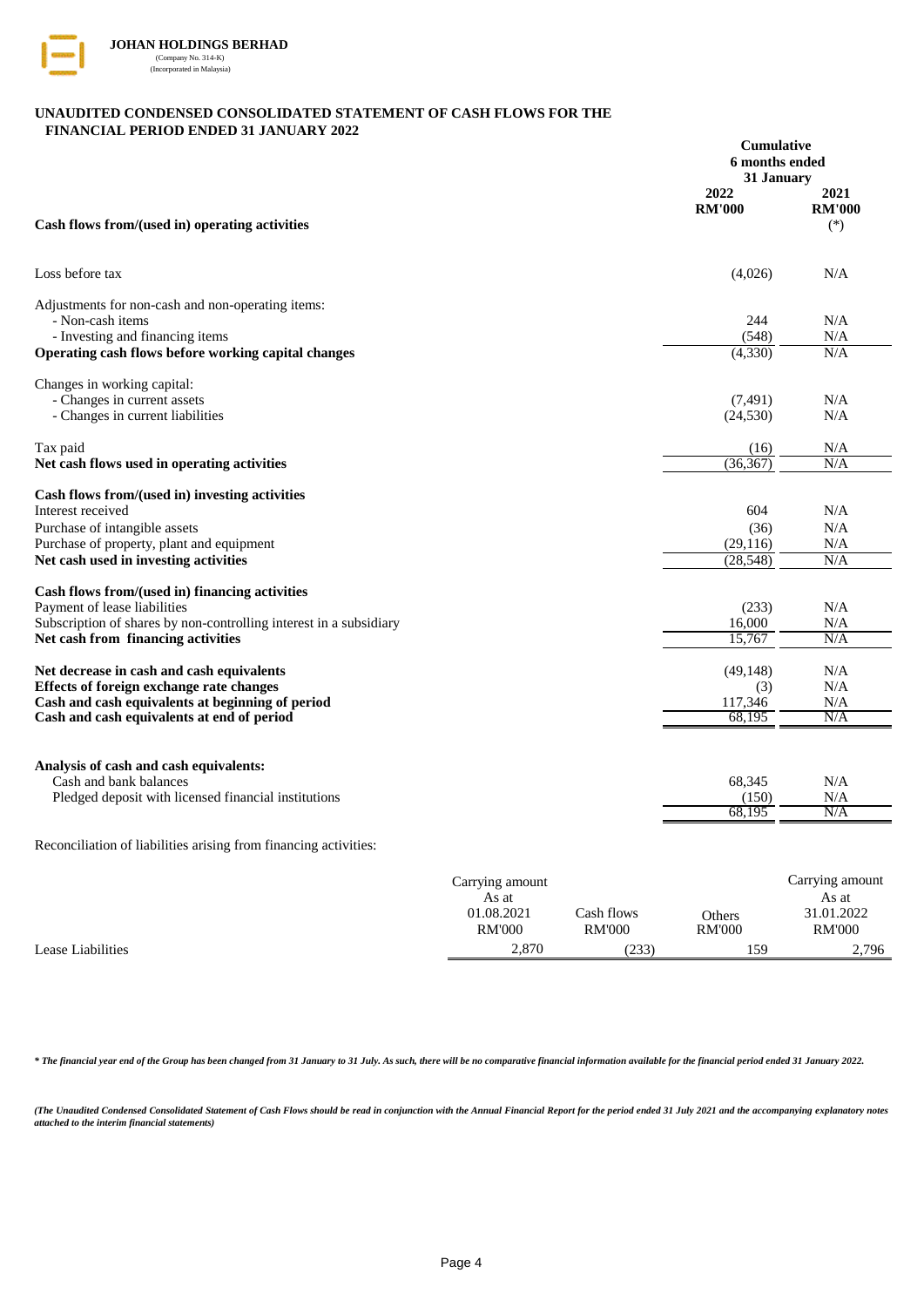

### **UNAUDITED CONDENSED CONSOLIDATED STATEMENT OF CASH FLOWS FOR THE FINANCIAL PERIOD ENDED 31 JANUARY 2022**

|                                                                                        | <b>Cumulative</b><br>6 months ended<br>31 January |                                |
|----------------------------------------------------------------------------------------|---------------------------------------------------|--------------------------------|
| Cash flows from/(used in) operating activities                                         | 2022<br><b>RM'000</b>                             | 2021<br><b>RM'000</b><br>$(*)$ |
| Loss before tax                                                                        | (4,026)                                           | N/A                            |
| Adjustments for non-cash and non-operating items:                                      |                                                   |                                |
| - Non-cash items                                                                       | 244                                               | N/A                            |
| - Investing and financing items<br>Operating cash flows before working capital changes | (548)<br>(4, 330)                                 | N/A<br>N/A                     |
| Changes in working capital:                                                            |                                                   |                                |
| - Changes in current assets                                                            | (7, 491)                                          | N/A                            |
| - Changes in current liabilities                                                       | (24, 530)                                         | N/A                            |
| Tax paid                                                                               | (16)                                              | N/A                            |
| Net cash flows used in operating activities                                            | (36, 367)                                         | N/A                            |
| Cash flows from/(used in) investing activities                                         |                                                   |                                |
| Interest received                                                                      | 604                                               | N/A                            |
| Purchase of intangible assets                                                          | (36)                                              | N/A                            |
| Purchase of property, plant and equipment                                              | (29, 116)                                         | N/A                            |
| Net cash used in investing activities                                                  | (28, 548)                                         | N/A                            |
| Cash flows from/(used in) financing activities                                         |                                                   |                                |
| Payment of lease liabilities                                                           | (233)                                             | N/A                            |
| Subscription of shares by non-controlling interest in a subsidiary                     | 16.000                                            | N/A                            |
| Net cash from financing activities                                                     | 15,767                                            | N/A                            |
| Net decrease in cash and cash equivalents                                              | (49, 148)                                         | N/A                            |
| Effects of foreign exchange rate changes                                               | (3)                                               | N/A                            |
| Cash and cash equivalents at beginning of period                                       | 117,346                                           | N/A                            |
| Cash and cash equivalents at end of period                                             | 68,195                                            | N/A                            |
|                                                                                        |                                                   |                                |
| Analysis of cash and cash equivalents:<br>Cash and bank balances                       | 68,345                                            | N/A                            |
| Pledged deposit with licensed financial institutions                                   | (150)                                             | N/A                            |
|                                                                                        | 68,195                                            | N/A                            |
|                                                                                        |                                                   |                                |

Reconciliation of liabilities arising from financing activities:

|                   | Carrying amount |               |               |               |
|-------------------|-----------------|---------------|---------------|---------------|
|                   | As at           |               |               | As at         |
|                   | 01.08.2021      | Cash flows    | Others        | 31.01.2022    |
|                   | <b>RM'000</b>   | <b>RM'000</b> | <b>RM'000</b> | <b>RM'000</b> |
| Lease Liabilities | 2.870           | (233)         | 159           | 2,796         |

*\* The financial year end of the Group has been changed from 31 January to 31 July. As such, there will be no comparative financial information available for the financial period ended 31 January 2022.*

(The Unaudited Condensed Consolidated Statement of Cash Flows should be read in conjunction with the Annual Financial Report for the period ended 31 July 2021 and the accompanying explanatory notes *attached to the interim financial statements)*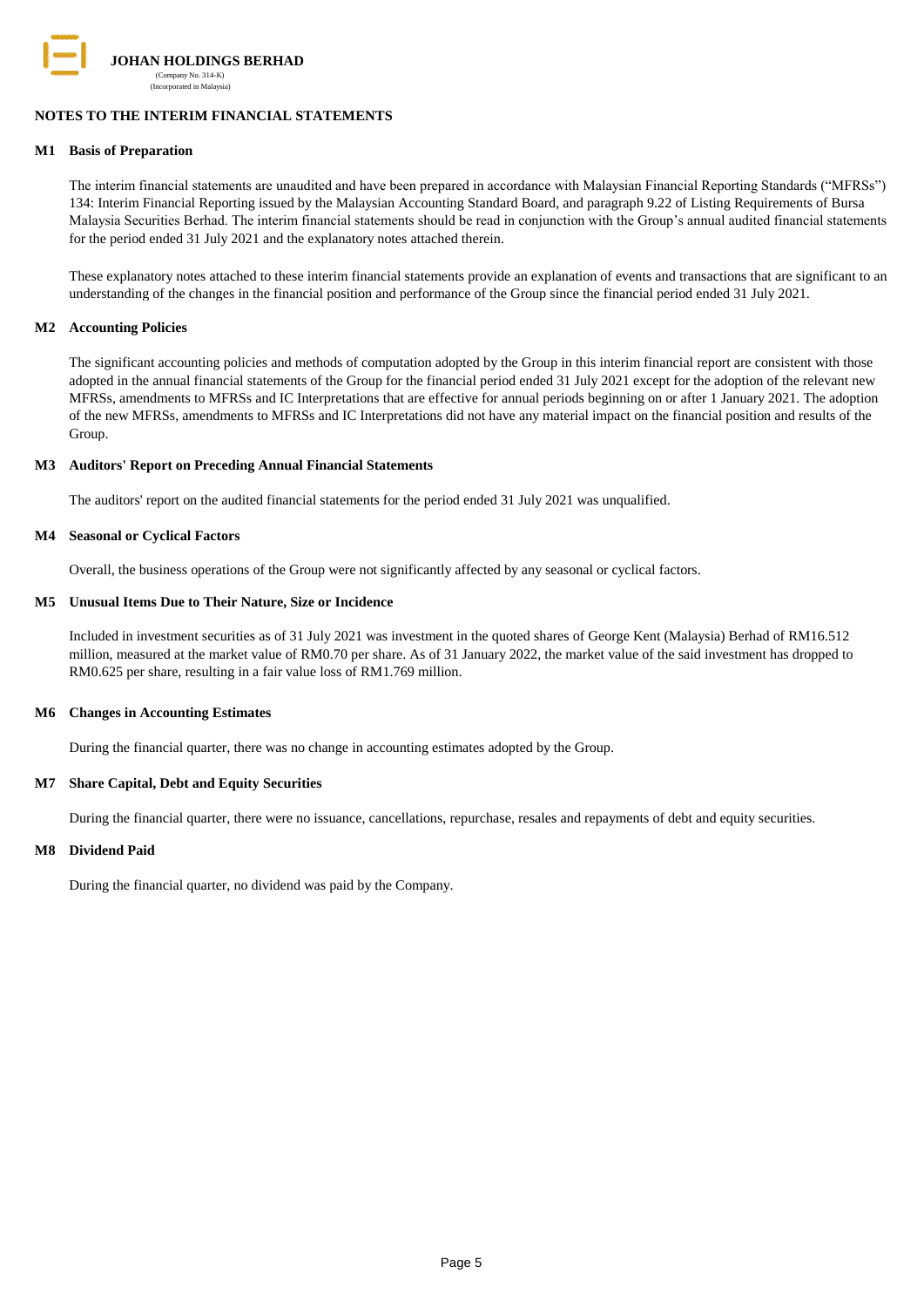

## **NOTES TO THE INTERIM FINANCIAL STATEMENTS**

#### **M1 Basis of Preparation**

The interim financial statements are unaudited and have been prepared in accordance with Malaysian Financial Reporting Standards ("MFRSs") 134: Interim Financial Reporting issued by the Malaysian Accounting Standard Board, and paragraph 9.22 of Listing Requirements of Bursa Malaysia Securities Berhad. The interim financial statements should be read in conjunction with the Group"s annual audited financial statements for the period ended 31 July 2021 and the explanatory notes attached therein.

These explanatory notes attached to these interim financial statements provide an explanation of events and transactions that are significant to an understanding of the changes in the financial position and performance of the Group since the financial period ended 31 July 2021.

#### **M2 Accounting Policies**

The significant accounting policies and methods of computation adopted by the Group in this interim financial report are consistent with those adopted in the annual financial statements of the Group for the financial period ended 31 July 2021 except for the adoption of the relevant new MFRSs, amendments to MFRSs and IC Interpretations that are effective for annual periods beginning on or after 1 January 2021. The adoption of the new MFRSs, amendments to MFRSs and IC Interpretations did not have any material impact on the financial position and results of the Group.

#### **M3 Auditors' Report on Preceding Annual Financial Statements**

The auditors' report on the audited financial statements for the period ended 31 July 2021 was unqualified.

#### **M4 Seasonal or Cyclical Factors**

Overall, the business operations of the Group were not significantly affected by any seasonal or cyclical factors.

#### **M5 Unusual Items Due to Their Nature, Size or Incidence**

Included in investment securities as of 31 July 2021 was investment in the quoted shares of George Kent (Malaysia) Berhad of RM16.512 million, measured at the market value of RM0.70 per share. As of 31 January 2022, the market value of the said investment has dropped to RM0.625 per share, resulting in a fair value loss of RM1.769 million.

#### **M6 Changes in Accounting Estimates**

During the financial quarter, there was no change in accounting estimates adopted by the Group.

### **M7 Share Capital, Debt and Equity Securities**

During the financial quarter, there were no issuance, cancellations, repurchase, resales and repayments of debt and equity securities.

#### **M8 Dividend Paid**

During the financial quarter, no dividend was paid by the Company.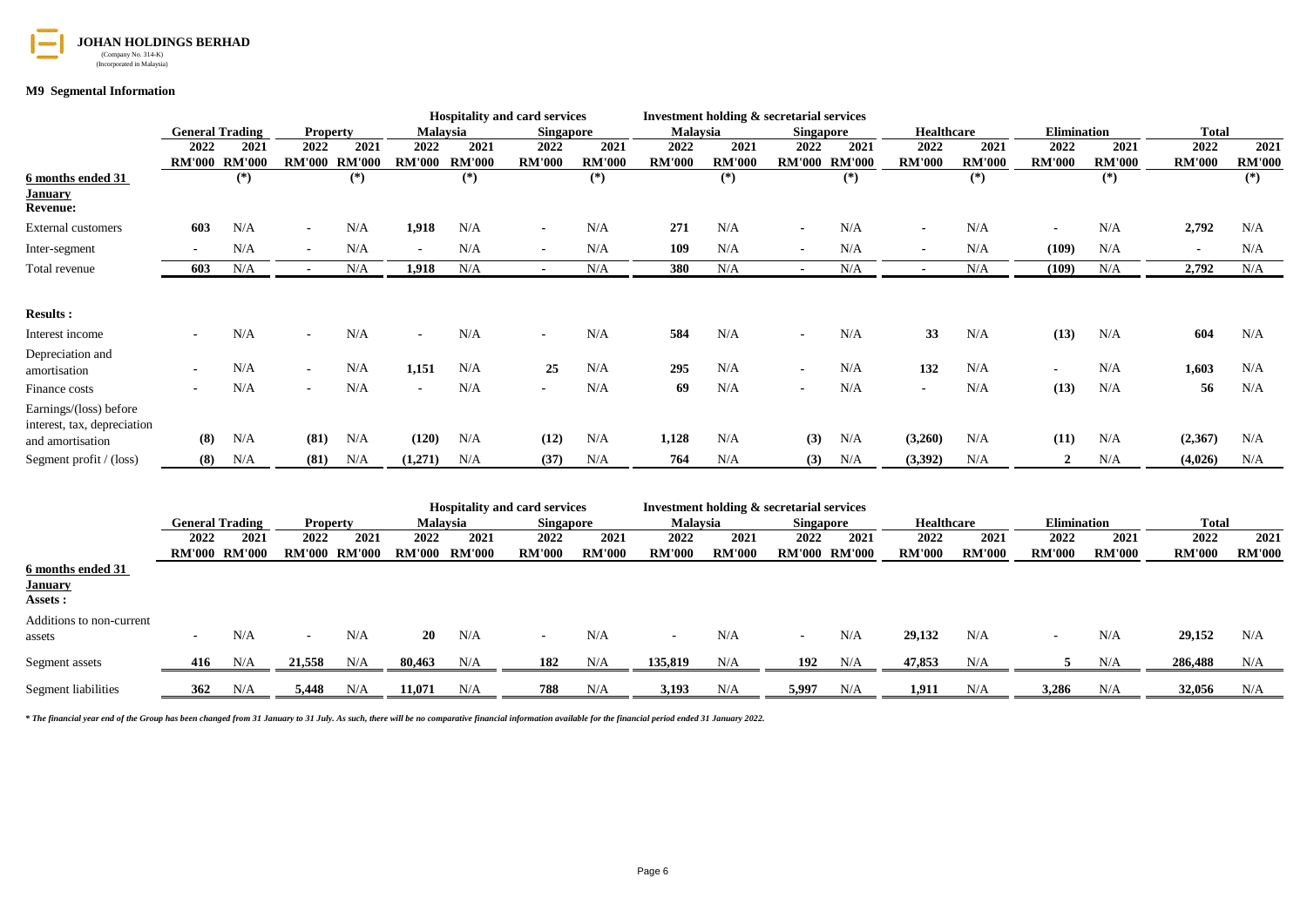

#### **M9 Segmental Information**

|                                                 |                          |                               |                 |                               |                 |                        | <b>Hospitality and card services</b> |                        |                          | Investment holding & secretarial services |                  |                        |                   |                        |                    |                        |               |                        |
|-------------------------------------------------|--------------------------|-------------------------------|-----------------|-------------------------------|-----------------|------------------------|--------------------------------------|------------------------|--------------------------|-------------------------------------------|------------------|------------------------|-------------------|------------------------|--------------------|------------------------|---------------|------------------------|
|                                                 |                          | <b>General Trading</b>        | <b>Property</b> |                               | <b>Malaysia</b> |                        | <b>Singapore</b>                     |                        | Malaysia                 |                                           | <b>Singapore</b> |                        | <b>Healthcare</b> |                        | <b>Elimination</b> |                        | <b>Total</b>  |                        |
|                                                 | 2022                     | 2021                          | 2022            | 2021                          | 2022            | 2021                   | 2022                                 | 2021                   | 2022                     | 2021                                      | 2022             | 2021                   | 2022              | 2021                   | 2022               | 2021                   | 2022          | 2021                   |
|                                                 |                          | <b>RM'000 RM'000</b><br>$(*)$ |                 | <b>RM'000 RM'000</b><br>$(*)$ | <b>RM'000</b>   | <b>RM'000</b><br>$(*)$ | <b>RM'000</b>                        | <b>RM'000</b><br>$(*)$ | <b>RM'000</b>            | <b>RM'000</b><br>$(*)$                    |                  | RM'000 RM'000<br>$(*)$ | <b>RM'000</b>     | <b>RM'000</b><br>$(*)$ | <b>RM'000</b>      | <b>RM'000</b><br>$(*)$ | <b>RM'000</b> | <b>RM'000</b><br>$(*)$ |
| 6 months ended 31<br><b>January</b>             |                          |                               |                 |                               |                 |                        |                                      |                        |                          |                                           |                  |                        |                   |                        |                    |                        |               |                        |
| <b>Revenue:</b>                                 |                          |                               |                 |                               |                 |                        |                                      |                        |                          |                                           |                  |                        |                   |                        |                    |                        |               |                        |
| <b>External customers</b>                       | 603                      | N/A                           | $\blacksquare$  | N/A                           | 1,918           | N/A                    |                                      | N/A                    | 271                      | N/A                                       |                  | N/A                    |                   | N/A                    |                    | N/A                    | 2,792         | N/A                    |
| Inter-segment                                   | $\blacksquare$           | N/A                           | $\blacksquare$  | N/A                           |                 | N/A                    | $\blacksquare$                       | N/A                    | 109                      | N/A                                       | $\blacksquare$   | N/A                    |                   | N/A                    | (109)              | N/A                    |               | N/A                    |
| Total revenue                                   | 603                      | N/A                           | $\blacksquare$  | N/A                           | 1,918           | N/A                    | $\sim$                               | N/A                    | 380                      | N/A                                       | $\sim$           | N/A                    | $\blacksquare$    | N/A                    | (109)              | N/A                    | 2,792         | N/A                    |
|                                                 |                          |                               |                 |                               |                 |                        |                                      |                        |                          |                                           |                  |                        |                   |                        |                    |                        |               |                        |
| <b>Results:</b>                                 |                          |                               |                 |                               |                 |                        |                                      |                        |                          |                                           |                  |                        |                   |                        |                    |                        |               |                        |
| Interest income                                 | $\overline{\phantom{0}}$ | N/A                           |                 | N/A                           |                 | N/A                    |                                      | N/A                    | 584                      | N/A                                       | $\blacksquare$   | N/A                    | 33                | N/A                    | (13)               | N/A                    | 604           | N/A                    |
| Depreciation and                                |                          |                               |                 |                               |                 |                        |                                      |                        |                          |                                           |                  |                        |                   |                        |                    |                        |               |                        |
| amortisation                                    | $\blacksquare$           | N/A                           | $\blacksquare$  | N/A                           | 1,151           | N/A                    | 25                                   | N/A                    | 295                      | N/A                                       | $\blacksquare$   | N/A                    | 132               | N/A                    | $\blacksquare$     | N/A                    | 1,603         | N/A                    |
| Finance costs                                   |                          | N/A                           | $\blacksquare$  | N/A                           |                 | N/A                    |                                      | N/A                    | 69                       | N/A                                       | $\blacksquare$   | N/A                    | $\blacksquare$    | N/A                    | (13)               | N/A                    | 56            | N/A                    |
| Earnings/(loss) before                          |                          |                               |                 |                               |                 |                        |                                      |                        |                          |                                           |                  |                        |                   |                        |                    |                        |               |                        |
| interest, tax, depreciation                     |                          |                               |                 |                               |                 |                        |                                      |                        |                          |                                           |                  |                        |                   |                        |                    |                        |               |                        |
| and amortisation                                | (8)                      | N/A                           | (81)            | N/A                           | (120)           | N/A                    | (12)                                 | N/A                    | 1,128                    | N/A                                       | (3)              | N/A                    | (3,260)           | N/A                    | (11)               | N/A                    | (2,367)       | N/A                    |
| Segment profit $/$ (loss)                       | (8)                      | N/A                           | (81)            | N/A                           | (1,271)         | N/A                    | (37)                                 | N/A                    | 764                      | N/A                                       | (3)              | N/A                    | (3,392)           | N/A                    | $\mathcal{P}$      | N/A                    | (4,026)       | N/A                    |
|                                                 |                          |                               |                 |                               |                 |                        |                                      |                        |                          |                                           |                  |                        |                   |                        |                    |                        |               |                        |
|                                                 |                          |                               |                 |                               |                 |                        | <b>Hospitality and card services</b> |                        |                          | Investment holding & secretarial services |                  |                        |                   |                        |                    |                        |               |                        |
|                                                 |                          | <b>General Trading</b>        | <b>Property</b> |                               | Malaysia        |                        | <b>Singapore</b>                     |                        | Malaysia                 |                                           | <b>Singapore</b> |                        | <b>Healthcare</b> |                        | <b>Elimination</b> |                        | <b>Total</b>  |                        |
|                                                 | 2022                     | 2021                          | 2022            | 2021                          | 2022            | 2021                   | 2022                                 | 2021                   | 2022                     | 2021                                      | 2022             | 2021                   | 2022              | 2021                   | 2022               | 2021                   | 2022          | 2021                   |
|                                                 |                          | <b>RM'000 RM'000</b>          |                 | <b>RM'000 RM'000</b>          | RM'000 RM'000   |                        | <b>RM'000</b>                        | <b>RM'000</b>          | <b>RM'000</b>            | <b>RM'000</b>                             |                  | RM'000 RM'000          | <b>RM'000</b>     | <b>RM'000</b>          | <b>RM'000</b>      | <b>RM'000</b>          | <b>RM'000</b> | <b>RM'000</b>          |
| 6 months ended 31<br><b>January</b><br>Assets : |                          |                               |                 |                               |                 |                        |                                      |                        |                          |                                           |                  |                        |                   |                        |                    |                        |               |                        |
| Additions to non-current                        |                          |                               |                 |                               |                 |                        |                                      |                        |                          |                                           |                  |                        |                   |                        |                    |                        |               |                        |
| assets                                          | $\blacksquare$           | N/A                           | $\blacksquare$  | N/A                           | <b>20</b>       | N/A                    | $\sim$                               | N/A                    | $\overline{\phantom{a}}$ | N/A                                       | $\blacksquare$   | N/A                    | 29,132            | N/A                    | $\blacksquare$     | N/A                    | 29,152        | N/A                    |
| Segment assets                                  | 416                      | N/A                           | 21,558          | N/A                           | 80.463          | N/A                    | 182                                  | N/A                    | 135,819                  | N/A                                       | 192              | N/A                    | 47,853            | N/A                    | 5                  | N/A                    | 286,488       | N/A                    |

*\* The financial year end of the Group has been changed from 31 January to 31 July. As such, there will be no comparative financial information available for the financial period ended 31 January 2022.*

Segment liabilities **362** N/A **5,448** N/A **11,071** N/A **788** N/A **3,193** N/A **5,997** N/A **1,911** N/A **3,286** N/A **32,056** N/A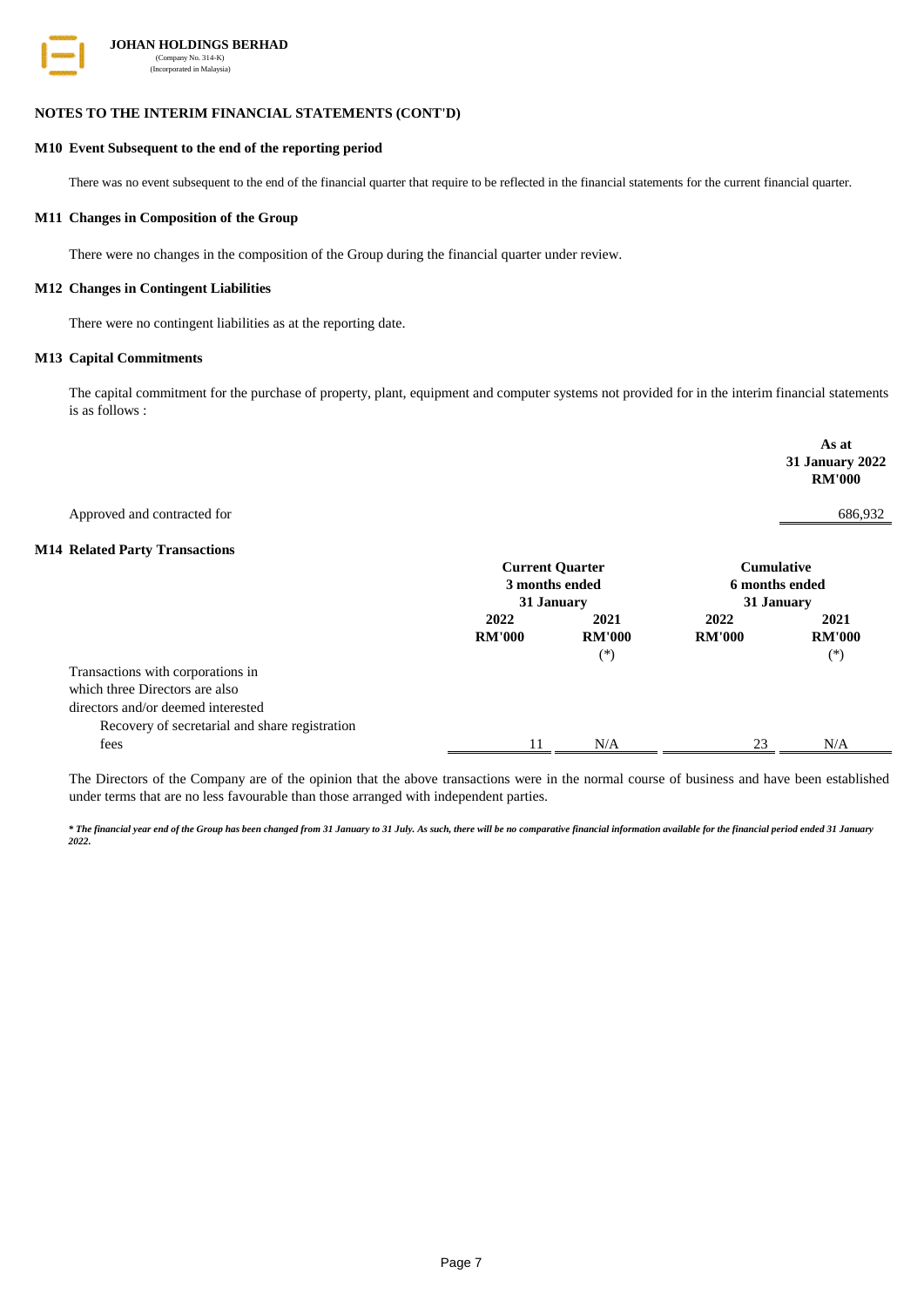

#### **NOTES TO THE INTERIM FINANCIAL STATEMENTS (CONT'D)**

### **M10 Event Subsequent to the end of the reporting period**

There was no event subsequent to the end of the financial quarter that require to be reflected in the financial statements for the current financial quarter.

#### **M11 Changes in Composition of the Group**

There were no changes in the composition of the Group during the financial quarter under review.

#### **M12 Changes in Contingent Liabilities**

There were no contingent liabilities as at the reporting date.

#### **M13 Capital Commitments**

The capital commitment for the purchase of property, plant, equipment and computer systems not provided for in the interim financial statements is as follows :

|                                                |                        |               |                   | As at<br>31 January 2022<br><b>RM'000</b> |  |
|------------------------------------------------|------------------------|---------------|-------------------|-------------------------------------------|--|
| Approved and contracted for                    |                        |               |                   | 686,932                                   |  |
| <b>M14 Related Party Transactions</b>          |                        |               |                   |                                           |  |
|                                                | <b>Current Quarter</b> |               | <b>Cumulative</b> |                                           |  |
|                                                | 3 months ended         |               | 6 months ended    |                                           |  |
|                                                | 31 January             |               | 31 January        |                                           |  |
|                                                | 2022                   | 2021          | 2022              | 2021                                      |  |
|                                                | <b>RM'000</b>          | <b>RM'000</b> | <b>RM'000</b>     | <b>RM'000</b>                             |  |
|                                                |                        | $(*)$         |                   | $(*)$                                     |  |
| Transactions with corporations in              |                        |               |                   |                                           |  |
| which three Directors are also                 |                        |               |                   |                                           |  |
| directors and/or deemed interested             |                        |               |                   |                                           |  |
| Recovery of secretarial and share registration |                        |               |                   |                                           |  |
| fees                                           | 11                     | N/A           | 23                | N/A                                       |  |

The Directors of the Company are of the opinion that the above transactions were in the normal course of business and have been established under terms that are no less favourable than those arranged with independent parties.

*\* The financial year end of the Group has been changed from 31 January to 31 July. As such, there will be no comparative financial information available for the financial period ended 31 January 2022.*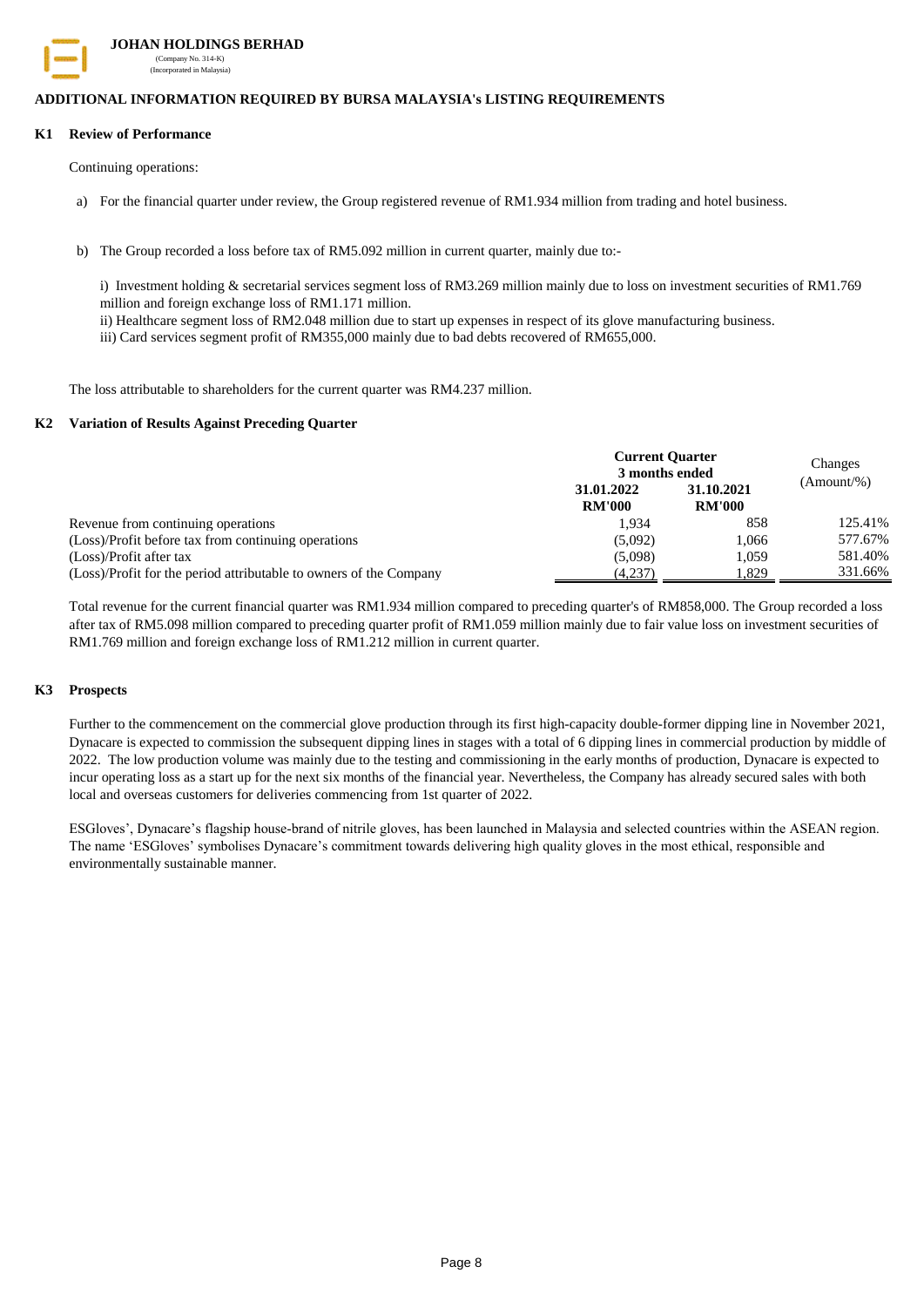

 **JOHAN HOLDINGS BERHAD** (Company No. 314-K) (Incorporated in Malaysia)

### **ADDITIONAL INFORMATION REQUIRED BY BURSA MALAYSIA's LISTING REQUIREMENTS**

#### **K1 Review of Performance**

Continuing operations:

- a) For the financial quarter under review, the Group registered revenue of RM1.934 million from trading and hotel business.
- b) The Group recorded a loss before tax of RM5.092 million in current quarter, mainly due to:-

i) Investment holding & secretarial services segment loss of RM3.269 million mainly due to loss on investment securities of RM1.769 million and foreign exchange loss of RM1.171 million.

ii) Healthcare segment loss of RM2.048 million due to start up expenses in respect of its glove manufacturing business.

iii) Card services segment profit of RM355,000 mainly due to bad debts recovered of RM655,000.

The loss attributable to shareholders for the current quarter was RM4.237 million.

#### **K2 Variation of Results Against Preceding Quarter**

|                                                                    | <b>Current Quarter</b> | Changes       |              |
|--------------------------------------------------------------------|------------------------|---------------|--------------|
|                                                                    | 3 months ended         |               |              |
|                                                                    | 31.01.2022             | 31.10.2021    | $(Amount\%)$ |
|                                                                    | <b>RM'000</b>          | <b>RM'000</b> |              |
| Revenue from continuing operations                                 | 1.934                  | 858           | 125.41%      |
| (Loss)/Profit before tax from continuing operations                | (5.092)                | 1.066         | 577.67%      |
| (Loss)/Profit after tax                                            | (5,098)                | 1.059         | 581.40%      |
| (Loss)/Profit for the period attributable to owners of the Company | (4,237)                | 1.829         | 331.66%      |

Total revenue for the current financial quarter was RM1.934 million compared to preceding quarter's of RM858,000. The Group recorded a loss after tax of RM5.098 million compared to preceding quarter profit of RM1.059 million mainly due to fair value loss on investment securities of RM1.769 million and foreign exchange loss of RM1.212 million in current quarter.

#### **K3 Prospects**

Further to the commencement on the commercial glove production through its first high-capacity double-former dipping line in November 2021, Dynacare is expected to commission the subsequent dipping lines in stages with a total of 6 dipping lines in commercial production by middle of 2022. The low production volume was mainly due to the testing and commissioning in the early months of production, Dynacare is expected to incur operating loss as a start up for the next six months of the financial year. Nevertheless, the Company has already secured sales with both local and overseas customers for deliveries commencing from 1st quarter of 2022.

ESGloves", Dynacare"s flagship house-brand of nitrile gloves, has been launched in Malaysia and selected countries within the ASEAN region. The name "ESGloves" symbolises Dynacare"s commitment towards delivering high quality gloves in the most ethical, responsible and environmentally sustainable manner.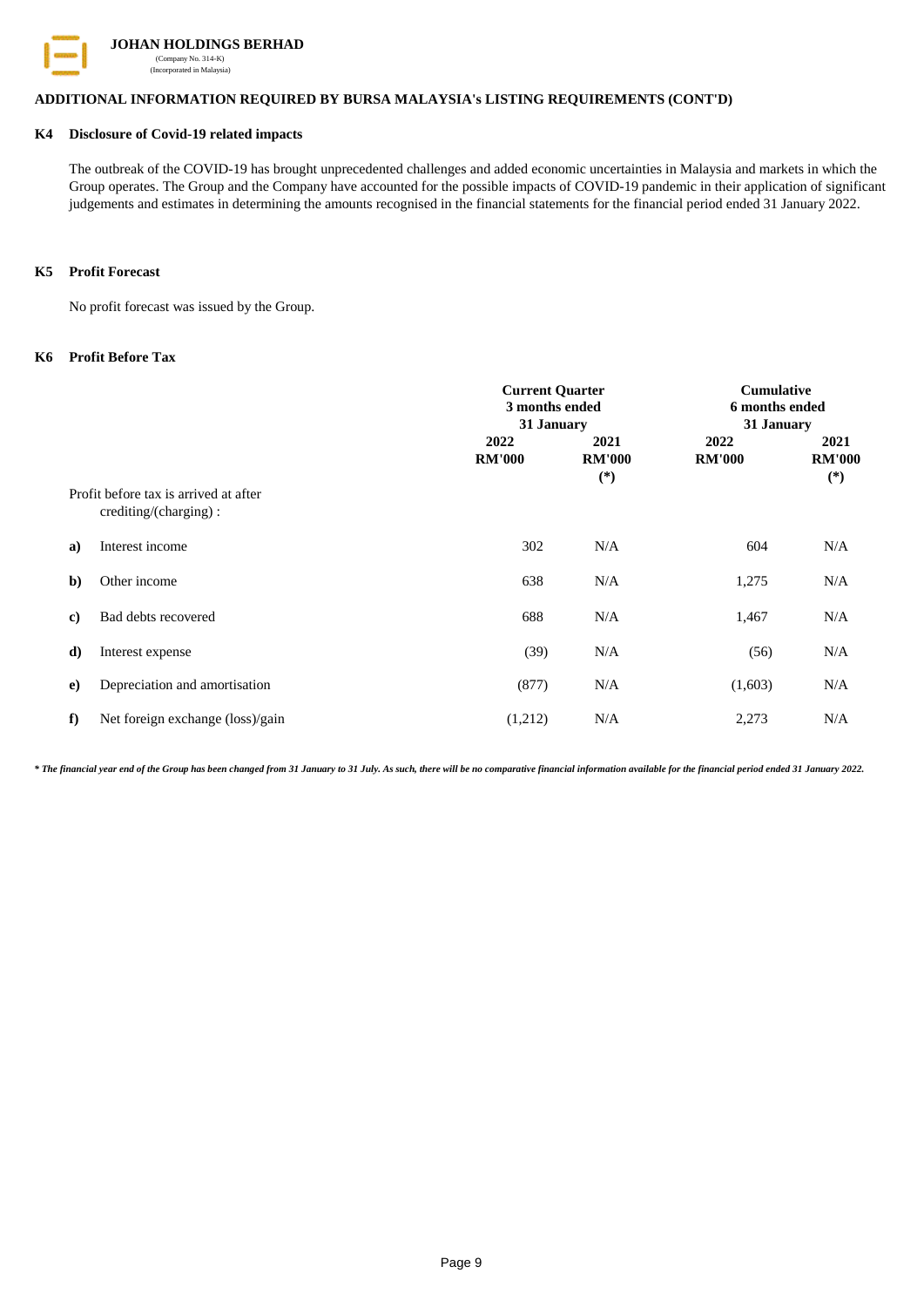

# **ADDITIONAL INFORMATION REQUIRED BY BURSA MALAYSIA's LISTING REQUIREMENTS (CONT'D)**

#### **K4 Disclosure of Covid-19 related impacts**

The outbreak of the COVID-19 has brought unprecedented challenges and added economic uncertainties in Malaysia and markets in which the Group operates. The Group and the Company have accounted for the possible impacts of COVID-19 pandemic in their application of significant judgements and estimates in determining the amounts recognised in the financial statements for the financial period ended 31 January 2022.

# **K5 Profit Forecast**

No profit forecast was issued by the Group.

#### **K6 Profit Before Tax**

|              |                                                                | <b>Current Quarter</b><br>3 months ended<br>31 January |                                | <b>Cumulative</b><br>6 months ended<br>31 January |                                |  |
|--------------|----------------------------------------------------------------|--------------------------------------------------------|--------------------------------|---------------------------------------------------|--------------------------------|--|
|              |                                                                | 2022<br><b>RM'000</b>                                  | 2021<br><b>RM'000</b><br>$(*)$ | 2022<br><b>RM'000</b>                             | 2021<br><b>RM'000</b><br>$(*)$ |  |
|              | Profit before tax is arrived at after<br>crediting/(charging): |                                                        |                                |                                                   |                                |  |
| a)           | Interest income                                                | 302                                                    | N/A                            | 604                                               | N/A                            |  |
| $\mathbf{b}$ | Other income                                                   | 638                                                    | N/A                            | 1,275                                             | N/A                            |  |
| c)           | Bad debts recovered                                            | 688                                                    | N/A                            | 1,467                                             | N/A                            |  |
| d)           | Interest expense                                               | (39)                                                   | N/A                            | (56)                                              | N/A                            |  |
| e)           | Depreciation and amortisation                                  | (877)                                                  | N/A                            | (1,603)                                           | N/A                            |  |
| f            | Net foreign exchange (loss)/gain                               | (1,212)                                                | N/A                            | 2,273                                             | N/A                            |  |

*\* The financial year end of the Group has been changed from 31 January to 31 July. As such, there will be no comparative financial information available for the financial period ended 31 January 2022.*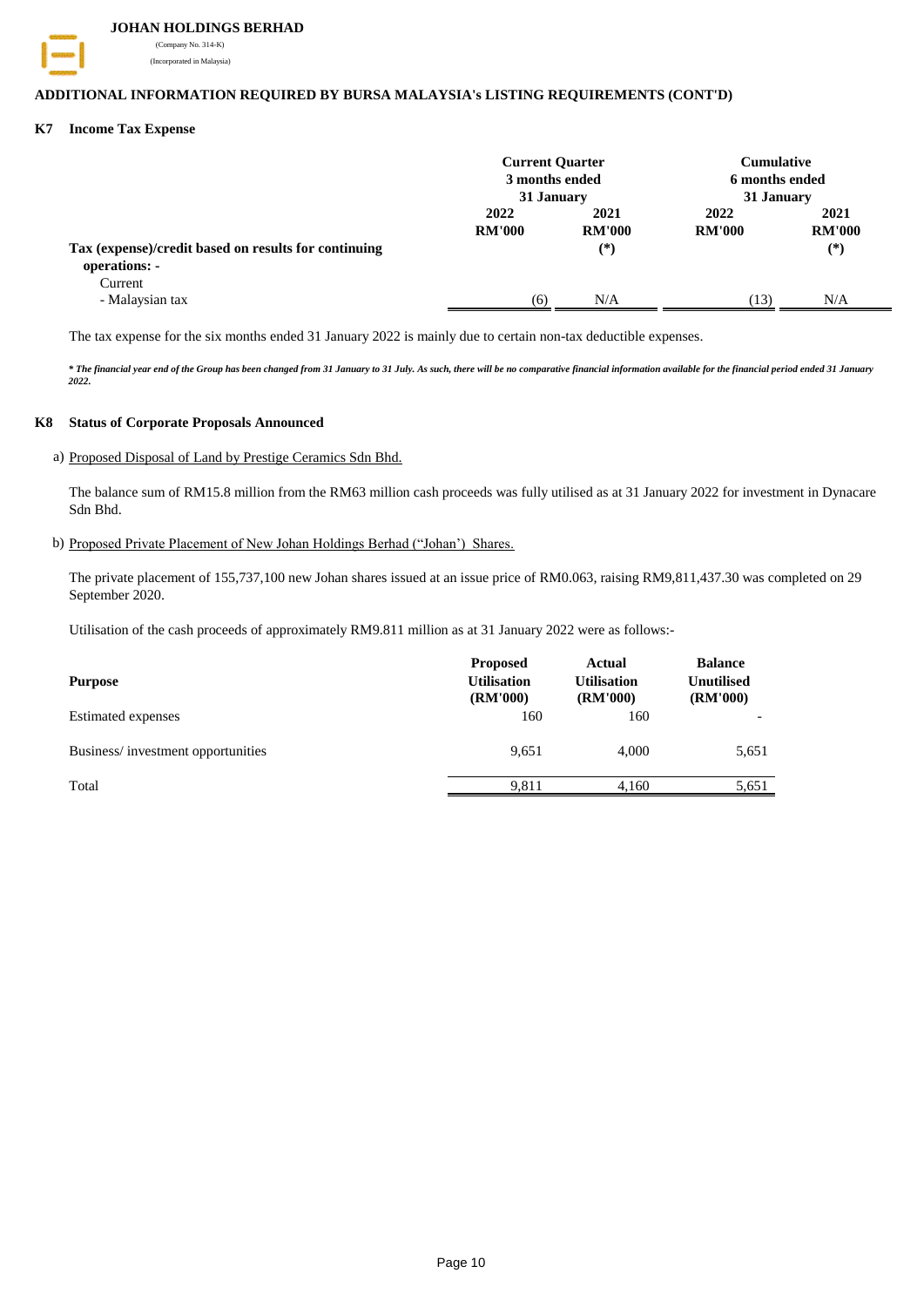

 **JOHAN HOLDINGS BERHAD**

 (Company No. 314-K) (Incorporated in Malaysia)

# **ADDITIONAL INFORMATION REQUIRED BY BURSA MALAYSIA's LISTING REQUIREMENTS (CONT'D)**

# **K7 Income Tax Expense**

|                                                                       | <b>Current Quarter</b><br>3 months ended<br>31 January |                       | <b>Cumulative</b><br>6 months ended<br>31 January |                       |
|-----------------------------------------------------------------------|--------------------------------------------------------|-----------------------|---------------------------------------------------|-----------------------|
|                                                                       | 2022<br><b>RM'000</b>                                  | 2021<br><b>RM'000</b> | 2022<br><b>RM'000</b>                             | 2021<br><b>RM'000</b> |
| Tax (expense)/credit based on results for continuing<br>operations: - |                                                        | $(*)$                 |                                                   | $(*)$                 |
| Current<br>- Malaysian tax                                            | (6)                                                    | N/A                   | (13)                                              | N/A                   |

The tax expense for the six months ended 31 January 2022 is mainly due to certain non-tax deductible expenses.

*\* The financial year end of the Group has been changed from 31 January to 31 July. As such, there will be no comparative financial information available for the financial period ended 31 January 2022.*

#### **K8 Status of Corporate Proposals Announced**

a) Proposed Disposal of Land by Prestige Ceramics Sdn Bhd.

The balance sum of RM15.8 million from the RM63 million cash proceeds was fully utilised as at 31 January 2022 for investment in Dynacare Sdn Bhd.

#### b) Proposed Private Placement of New Johan Holdings Berhad ("Johan') Shares.

The private placement of 155,737,100 new Johan shares issued at an issue price of RM0.063, raising RM9,811,437.30 was completed on 29 September 2020.

Utilisation of the cash proceeds of approximately RM9.811 million as at 31 January 2022 were as follows:-

| <b>Purpose</b>                    | Proposed<br><b>Utilisation</b><br>(RM'000) | <b>Actual</b><br><b>Utilisation</b><br>(RM'000) | <b>Balance</b><br><b>Unutilised</b><br>(RM'000) |
|-----------------------------------|--------------------------------------------|-------------------------------------------------|-------------------------------------------------|
| <b>Estimated</b> expenses         | 160                                        | 160                                             |                                                 |
| Business/investment opportunities | 9,651                                      | 4.000                                           | 5,651                                           |
| Total                             | 9.811                                      | 4.160                                           | 5,651                                           |
|                                   |                                            |                                                 |                                                 |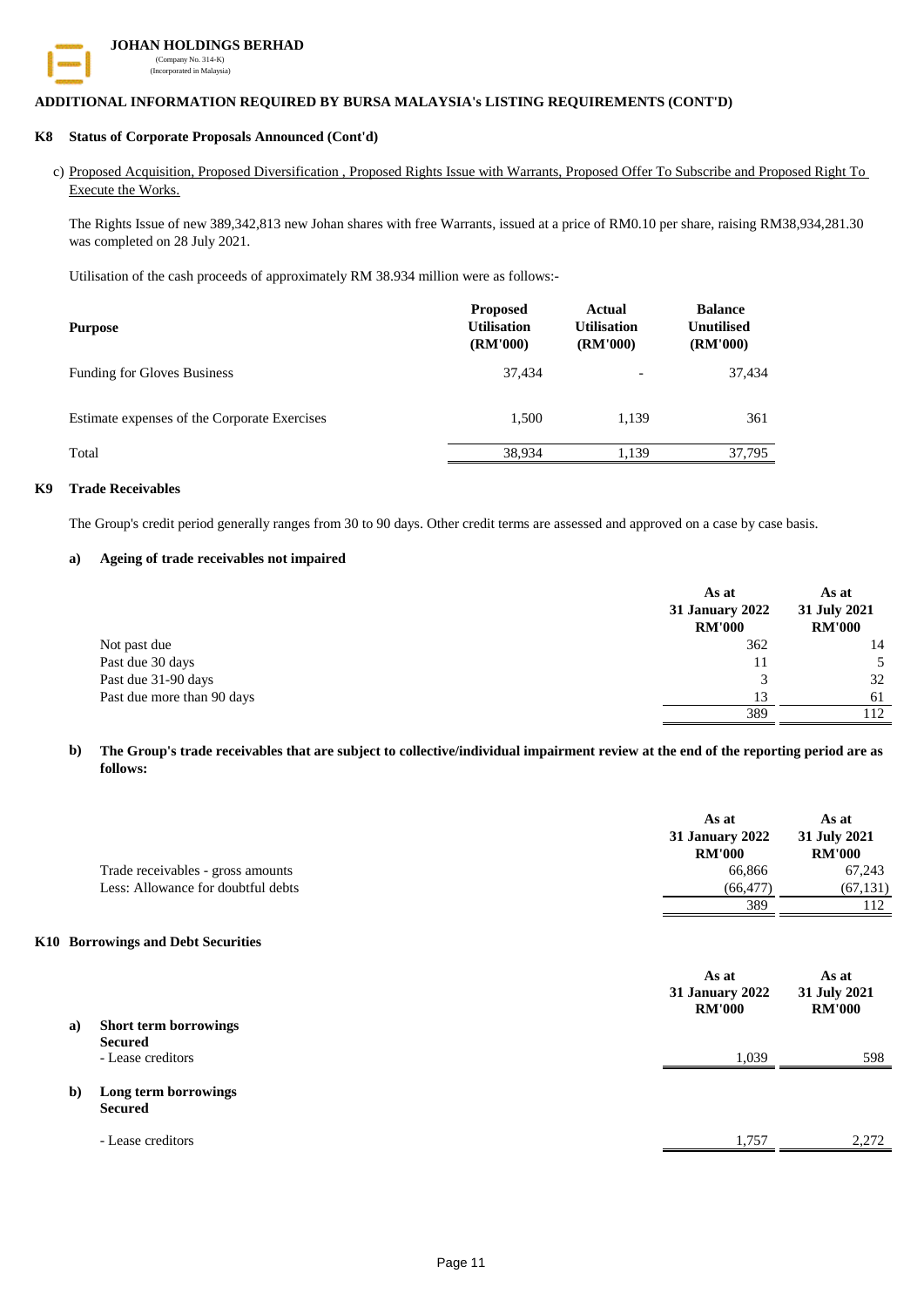

# **JOHAN HOLDINGS BERHAD** (Company No. 314-K) (Incorporated in Malaysia)

# **ADDITIONAL INFORMATION REQUIRED BY BURSA MALAYSIA's LISTING REQUIREMENTS (CONT'D)**

#### **K8 Status of Corporate Proposals Announced (Cont'd)**

c) Proposed Acquisition, Proposed Diversification , Proposed Rights Issue with Warrants, Proposed Offer To Subscribe and Proposed Right To Execute the Works.

The Rights Issue of new 389,342,813 new Johan shares with free Warrants, issued at a price of RM0.10 per share, raising RM38,934,281.30 was completed on 28 July 2021.

Utilisation of the cash proceeds of approximately RM 38.934 million were as follows:-

| <b>Purpose</b>                               | <b>Proposed</b><br><b>Utilisation</b><br>(RM'000) | <b>Actual</b><br><b>Utilisation</b><br>(RM'000) | <b>Balance</b><br><b>Unutilised</b><br><b>(RM'000)</b> |
|----------------------------------------------|---------------------------------------------------|-------------------------------------------------|--------------------------------------------------------|
| <b>Funding for Gloves Business</b>           | 37.434                                            | ۰                                               | 37.434                                                 |
| Estimate expenses of the Corporate Exercises | 1.500                                             | 1.139                                           | 361                                                    |
| Total                                        | 38,934                                            | 1,139                                           | 37,795                                                 |

## **K9 Trade Receivables**

The Group's credit period generally ranges from 30 to 90 days. Other credit terms are assessed and approved on a case by case basis.

### **a) Ageing of trade receivables not impaired**

|                            | As at<br><b>31 January 2022</b><br><b>RM'000</b> | As at<br>31 July 2021<br><b>RM'000</b> |
|----------------------------|--------------------------------------------------|----------------------------------------|
| Not past due               | 362                                              | 14                                     |
| Past due 30 days           | 11                                               |                                        |
| Past due 31-90 days        |                                                  | 32                                     |
| Past due more than 90 days | 13                                               | 61                                     |
|                            | 389                                              | 12                                     |

#### **b) The Group's trade receivables that are subject to collective/individual impairment review at the end of the reporting period are as follows:**

|    | Trade receivables - gross amounts<br>Less: Allowance for doubtful debts       | As at<br>31 January 2022<br><b>RM'000</b><br>66,866<br>(66, 477)<br>389 | As at<br>31 July 2021<br><b>RM'000</b><br>67,243<br>(67, 131)<br>112 |
|----|-------------------------------------------------------------------------------|-------------------------------------------------------------------------|----------------------------------------------------------------------|
| a) | K10 Borrowings and Debt Securities<br>Short term borrowings                   | As at<br>31 January 2022<br><b>RM'000</b>                               | As at<br>31 July 2021<br><b>RM'000</b>                               |
| b) | <b>Secured</b><br>- Lease creditors<br>Long term borrowings<br><b>Secured</b> | 1,039                                                                   | 598                                                                  |
|    | - Lease creditors                                                             | 1.757                                                                   | 2.272                                                                |